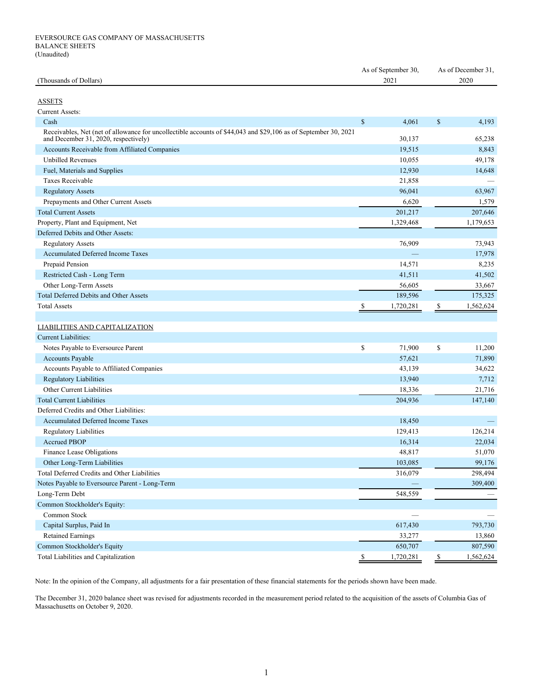| (Thousands of Dollars)                                                                                                                                  |              | As of September 30,<br>2021 |              | As of December 31.<br>2020 |  |
|---------------------------------------------------------------------------------------------------------------------------------------------------------|--------------|-----------------------------|--------------|----------------------------|--|
|                                                                                                                                                         |              |                             |              |                            |  |
| <b>ASSETS</b>                                                                                                                                           |              |                             |              |                            |  |
| <b>Current Assets:</b>                                                                                                                                  |              |                             |              |                            |  |
| Cash                                                                                                                                                    | $\mathbb{S}$ | 4,061                       | $\mathbb{S}$ | 4,193                      |  |
| Receivables, Net (net of allowance for uncollectible accounts of \$44,043 and \$29,106 as of September 30, 2021<br>and December 31, 2020, respectively) |              | 30,137                      |              | 65,238                     |  |
| Accounts Receivable from Affiliated Companies                                                                                                           |              | 19,515                      |              | 8,843                      |  |
| <b>Unbilled Revenues</b>                                                                                                                                |              | 10,055                      |              | 49,178                     |  |
| Fuel, Materials and Supplies                                                                                                                            |              | 12,930                      |              | 14,648                     |  |
| <b>Taxes Receivable</b>                                                                                                                                 |              | 21,858                      |              |                            |  |
| <b>Regulatory Assets</b>                                                                                                                                |              | 96,041                      |              | 63,967                     |  |
| Prepayments and Other Current Assets                                                                                                                    |              | 6,620                       |              | 1,579                      |  |
| <b>Total Current Assets</b>                                                                                                                             |              | 201,217                     |              | 207,646                    |  |
| Property, Plant and Equipment, Net                                                                                                                      |              | 1,329,468                   |              | 1,179,653                  |  |
| Deferred Debits and Other Assets:                                                                                                                       |              |                             |              |                            |  |
| <b>Regulatory Assets</b>                                                                                                                                |              | 76,909                      |              | 73,943                     |  |
| <b>Accumulated Deferred Income Taxes</b>                                                                                                                |              |                             |              | 17,978                     |  |
| Prepaid Pension                                                                                                                                         |              | 14,571                      |              | 8,235                      |  |
| Restricted Cash - Long Term                                                                                                                             |              | 41,511                      |              | 41,502                     |  |
| Other Long-Term Assets                                                                                                                                  |              | 56,605                      |              | 33,667                     |  |
| <b>Total Deferred Debits and Other Assets</b>                                                                                                           |              | 189,596                     |              | 175,325                    |  |
| <b>Total Assets</b>                                                                                                                                     |              | 1,720,281                   | S            | 1,562,624                  |  |
|                                                                                                                                                         |              |                             |              |                            |  |
| <b>LIABILITIES AND CAPITALIZATION</b>                                                                                                                   |              |                             |              |                            |  |
| <b>Current Liabilities:</b>                                                                                                                             |              |                             |              |                            |  |
| Notes Payable to Eversource Parent                                                                                                                      | \$           | 71,900                      | \$           | 11,200                     |  |
| Accounts Payable                                                                                                                                        |              | 57,621                      |              | 71,890                     |  |
| Accounts Payable to Affiliated Companies                                                                                                                |              | 43,139                      |              | 34,622                     |  |
| <b>Regulatory Liabilities</b>                                                                                                                           |              | 13,940                      |              | 7,712                      |  |
| Other Current Liabilities                                                                                                                               |              | 18,336                      |              | 21,716                     |  |
| <b>Total Current Liabilities</b>                                                                                                                        |              | 204,936                     |              | 147,140                    |  |
| Deferred Credits and Other Liabilities:                                                                                                                 |              |                             |              |                            |  |
| <b><i>CALCUMBUS CAMP</i></b>                                                                                                                            |              |                             |              |                            |  |

| Accumulated Deferred Income Taxes              |   | 18,450    |                 |
|------------------------------------------------|---|-----------|-----------------|
| <b>Regulatory Liabilities</b>                  |   | 129,413   | 126,214         |
| <b>Accrued PBOP</b>                            |   | 16,314    | 22,034          |
| Finance Lease Obligations                      |   | 48,817    | 51,070          |
| Other Long-Term Liabilities                    |   | 103,085   | 99,176          |
| Total Deferred Credits and Other Liabilities   |   | 316,079   | 298,494         |
| Notes Payable to Eversource Parent - Long-Term |   |           | 309,400         |
| Long-Term Debt                                 |   | 548,559   |                 |
| Common Stockholder's Equity:                   |   |           |                 |
| Common Stock                                   |   |           |                 |
| Capital Surplus, Paid In                       |   | 617,430   | 793,730         |
| <b>Retained Earnings</b>                       |   | 33,277    | 13,860          |
| Common Stockholder's Equity                    |   | 650,707   | 807,590         |
| Total Liabilities and Capitalization           | ъ | 1,720,281 | \$<br>1,562,624 |

Note: In the opinion of the Company, all adjustments for a fair presentation of these financial statements for the periods shown have been made.

The December 31, 2020 balance sheet was revised for adjustments recorded in the measurement period related to the acquisition of the assets of Columbia Gas of Massachusetts on October 9, 2020.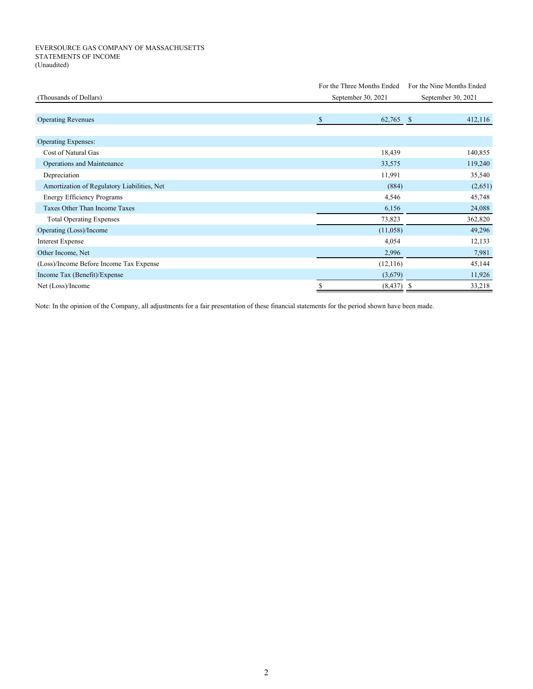## EVERSOURCE GAS COMPANY OF MASSACHUSETTS STATEMENTS OF INCOME (Unaudited)

|                                             | For the Three Months Ended  | For the Nine Months Ended |  |  |
|---------------------------------------------|-----------------------------|---------------------------|--|--|
| (Thousands of Dollars)                      | September 30, 2021          | September 30, 2021        |  |  |
|                                             |                             |                           |  |  |
| <b>Operating Revenues</b>                   | $\mathbf{s}$<br>$62,765$ \$ | 412,116                   |  |  |
|                                             |                             |                           |  |  |
| <b>Operating Expenses:</b>                  |                             |                           |  |  |
| Cost of Natural Gas                         | 18,439                      | 140,855                   |  |  |
| Operations and Maintenance                  | 33,575                      | 119,240                   |  |  |
| Depreciation                                | 11,991                      | 35,540                    |  |  |
| Amortization of Regulatory Liabilities, Net | (884)                       | (2,651)                   |  |  |
| <b>Energy Efficiency Programs</b>           | 4,546                       | 45,748                    |  |  |
| Taxes Other Than Income Taxes               | 6,156                       | 24,088                    |  |  |
| <b>Total Operating Expenses</b>             | 73,823                      | 362,820                   |  |  |
| Operating (Loss)/Income                     | (11,058)                    | 49,296                    |  |  |
| <b>Interest Expense</b>                     | 4,054                       | 12,133                    |  |  |
| Other Income, Net                           | 2,996                       | 7,981                     |  |  |
| (Loss)/Income Before Income Tax Expense     | (12,116)                    | 45,144                    |  |  |
| Income Tax (Benefit)/Expense                | (3,679)                     | 11,926                    |  |  |
| Net (Loss)/Income                           | $(8,437)$ \$                | 33,218                    |  |  |

Note: In the opinion of the Company, all adjustments for a fair presentation of these financial statements for the period shown have been made.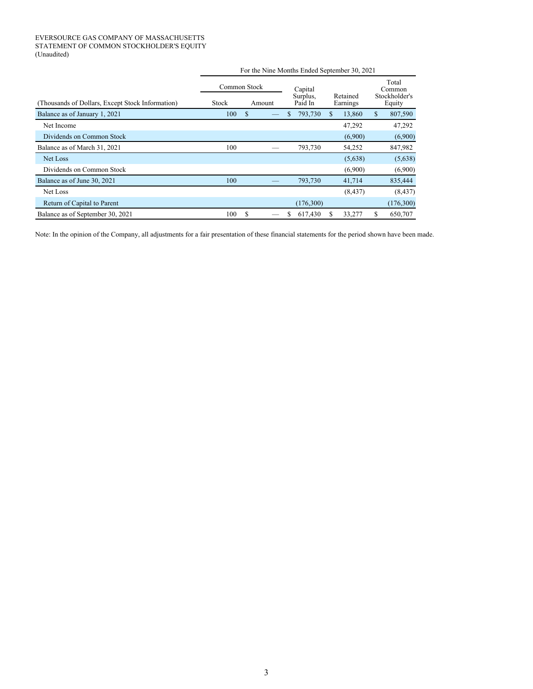## EVERSOURCE GAS COMPANY OF MASSACHUSETTS STATEMENT OF COMMON STOCKHOLDER'S EQUITY (Unaudited)

|                                                  | For the Nine Months Ended September 30, 2021 |              |                     |           |          |          |                                  |           |
|--------------------------------------------------|----------------------------------------------|--------------|---------------------|-----------|----------|----------|----------------------------------|-----------|
|                                                  |                                              | Common Stock | Capital<br>Surplus. |           | Retained |          | Total<br>Common<br>Stockholder's |           |
| (Thousands of Dollars, Except Stock Information) | Stock                                        | Amount       |                     | Paid In   |          | Earnings |                                  | Equity    |
| Balance as of January 1, 2021                    | 100                                          | S            |                     | 793,730   | \$       | 13,860   | $\mathcal{S}$                    | 807,590   |
| Net Income                                       |                                              |              |                     |           |          | 47,292   |                                  | 47,292    |
| Dividends on Common Stock                        |                                              |              |                     |           |          | (6,900)  |                                  | (6,900)   |
| Balance as of March 31, 2021                     | 100                                          |              |                     | 793,730   |          | 54,252   |                                  | 847,982   |
| Net Loss                                         |                                              |              |                     |           |          | (5,638)  |                                  | (5,638)   |
| Dividends on Common Stock                        |                                              |              |                     |           |          | (6,900)  |                                  | (6,900)   |
| Balance as of June 30, 2021                      | 100                                          |              |                     | 793,730   |          | 41,714   |                                  | 835,444   |
| Net Loss                                         |                                              |              |                     |           |          | (8, 437) |                                  | (8, 437)  |
| Return of Capital to Parent                      |                                              |              |                     | (176,300) |          |          |                                  | (176,300) |
| Balance as of September 30, 2021                 | 100                                          | S            | S                   | 617,430   |          | 33,277   | S                                | 650,707   |

Note: In the opinion of the Company, all adjustments for a fair presentation of these financial statements for the period shown have been made.